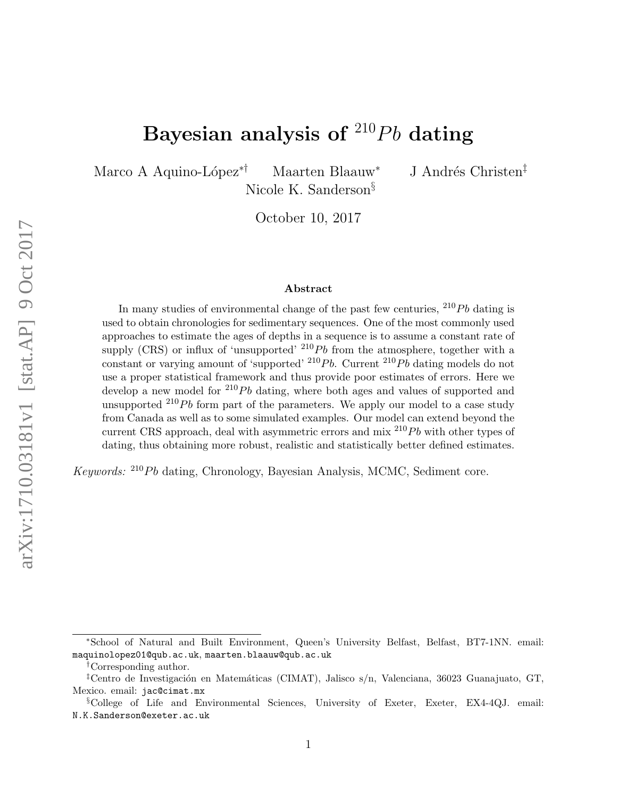# Bayesian analysis of  $^{210}Pb$  dating

Marco A Aquino-López<sup>∗†</sup> Maarten Blaauw<sup>∗</sup> J Andrés Christen<sup>‡</sup>

Nicole K. Sanderson§

October 10, 2017

#### Abstract

In many studies of environmental change of the past few centuries,  $^{210}Pb$  dating is used to obtain chronologies for sedimentary sequences. One of the most commonly used approaches to estimate the ages of depths in a sequence is to assume a constant rate of supply (CRS) or influx of 'unsupported'  $^{210}Pb$  from the atmosphere, together with a constant or varying amount of 'supported'  $^{210}Pb$ . Current  $^{210}Pb$  dating models do not use a proper statistical framework and thus provide poor estimates of errors. Here we develop a new model for  $^{210}Pb$  dating, where both ages and values of supported and unsupported  $^{210}Pb$  form part of the parameters. We apply our model to a case study from Canada as well as to some simulated examples. Our model can extend beyond the current CRS approach, deal with asymmetric errors and mix  $^{210}Pb$  with other types of dating, thus obtaining more robust, realistic and statistically better defined estimates.

Keywords:  $^{210}Pb$  dating, Chronology, Bayesian Analysis, MCMC, Sediment core.

<sup>∗</sup>School of Natural and Built Environment, Queen's University Belfast, Belfast, BT7-1NN. email: maquinolopez01@qub.ac.uk, maarten.blaauw@qub.ac.uk

<sup>†</sup>Corresponding author.

<sup>&</sup>lt;sup>‡</sup>Centro de Investigación en Matemáticas (CIMAT), Jalisco s/n, Valenciana, 36023 Guanajuato, GT, Mexico. email: jac@cimat.mx

<sup>§</sup>College of Life and Environmental Sciences, University of Exeter, Exeter, EX4-4QJ. email: N.K.Sanderson@exeter.ac.uk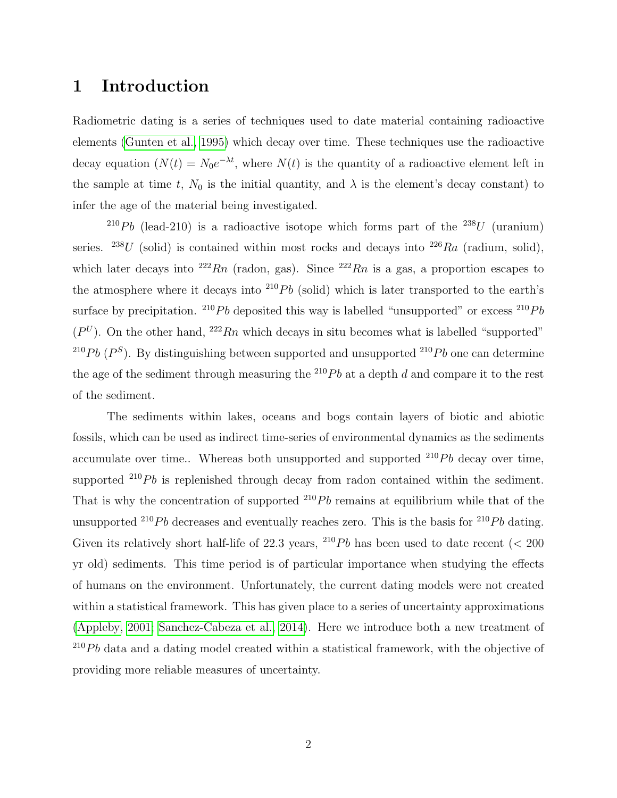## 1 Introduction

Radiometric dating is a series of techniques used to date material containing radioactive elements [\(Gunten et al., 1995\)](#page-18-0) which decay over time. These techniques use the radioactive decay equation  $(N(t) = N_0 e^{-\lambda t}$ , where  $N(t)$  is the quantity of a radioactive element left in the sample at time t,  $N_0$  is the initial quantity, and  $\lambda$  is the element's decay constant) to infer the age of the material being investigated.

<sup>210</sup>Pb (lead-210) is a radioactive isotope which forms part of the <sup>238</sup>U (uranium) series. <sup>238</sup>U (solid) is contained within most rocks and decays into <sup>226</sup>Ra (radium, solid), which later decays into <sup>222</sup>Rn (radon, gas). Since <sup>222</sup>Rn is a gas, a proportion escapes to the atmosphere where it decays into  $^{210}Pb$  (solid) which is later transported to the earth's surface by precipitation. <sup>210</sup>Pb deposited this way is labelled "unsupported" or excess <sup>210</sup>Pb  $(P^U)$ . On the other hand,  $^{222}Rn$  which decays in situ becomes what is labelled "supported" <sup>210</sup>Pb ( $P<sup>S</sup>$ ). By distinguishing between supported and unsupported <sup>210</sup>Pb one can determine the age of the sediment through measuring the  $^{210}Pb$  at a depth d and compare it to the rest of the sediment.

The sediments within lakes, oceans and bogs contain layers of biotic and abiotic fossils, which can be used as indirect time-series of environmental dynamics as the sediments accumulate over time.. Whereas both unsupported and supported  $^{210}Pb$  decay over time, supported  $^{210}Pb$  is replenished through decay from radon contained within the sediment. That is why the concentration of supported  $^{210}Pb$  remains at equilibrium while that of the unsupported <sup>210</sup>Pb decreases and eventually reaches zero. This is the basis for <sup>210</sup>Pb dating. Given its relatively short half-life of 22.3 years, <sup>210</sup>Pb has been used to date recent ( $\lt$  200 yr old) sediments. This time period is of particular importance when studying the effects of humans on the environment. Unfortunately, the current dating models were not created within a statistical framework. This has given place to a series of uncertainty approximations [\(Appleby, 2001;](#page-17-0) [Sanchez-Cabeza et al., 2014\)](#page-19-0). Here we introduce both a new treatment of  $^{210}Pb$  data and a dating model created within a statistical framework, with the objective of providing more reliable measures of uncertainty.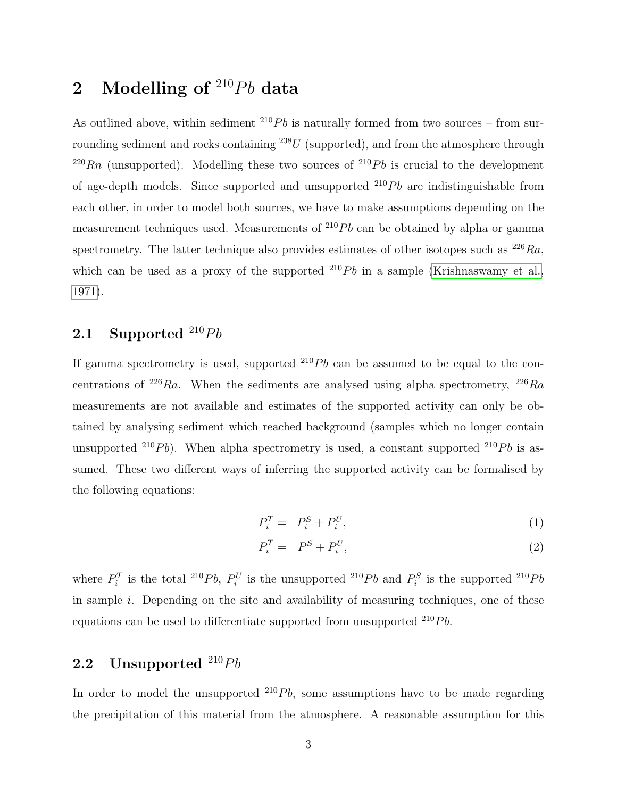## <span id="page-2-0"></span>2 Modelling of  $^{210}Pb$  data

As outlined above, within sediment  $^{210}Pb$  is naturally formed from two sources – from surrounding sediment and rocks containing  $^{238}U$  (supported), and from the atmosphere through  $^{220}Rn$  (unsupported). Modelling these two sources of  $^{210}Pb$  is crucial to the development of age-depth models. Since supported and unsupported  $^{210}Pb$  are indistinguishable from each other, in order to model both sources, we have to make assumptions depending on the measurement techniques used. Measurements of  $^{210}Pb$  can be obtained by alpha or gamma spectrometry. The latter technique also provides estimates of other isotopes such as  $^{226}Ra$ , which can be used as a proxy of the supported  $^{210}Pb$  in a sample [\(Krishnaswamy et al.,](#page-18-1) [1971\)](#page-18-1).

## 2.1 Supported  $^{210}Pb$

If gamma spectrometry is used, supported  $^{210}Pb$  can be assumed to be equal to the concentrations of <sup>226</sup>Ra. When the sediments are analysed using alpha spectrometry, <sup>226</sup>Ra measurements are not available and estimates of the supported activity can only be obtained by analysing sediment which reached background (samples which no longer contain unsupported <sup>210</sup>Pb). When alpha spectrometry is used, a constant supported <sup>210</sup>Pb is assumed. These two different ways of inferring the supported activity can be formalised by the following equations:

<span id="page-2-1"></span>
$$
P_i^T = P_i^S + P_i^U,\tag{1}
$$

$$
P_i^T = P^S + P_i^U,\t\t(2)
$$

where  $P_i^T$  is the total <sup>210</sup>Pb,  $P_i^U$  is the unsupported <sup>210</sup>Pb and  $P_i^S$  is the supported <sup>210</sup>Pb in sample  $i$ . Depending on the site and availability of measuring techniques, one of these equations can be used to differentiate supported from unsupported  $^{210}Pb$ .

### 2.2 Unsupported  $^{210}Pb$

In order to model the unsupported  $^{210}Pb$ , some assumptions have to be made regarding the precipitation of this material from the atmosphere. A reasonable assumption for this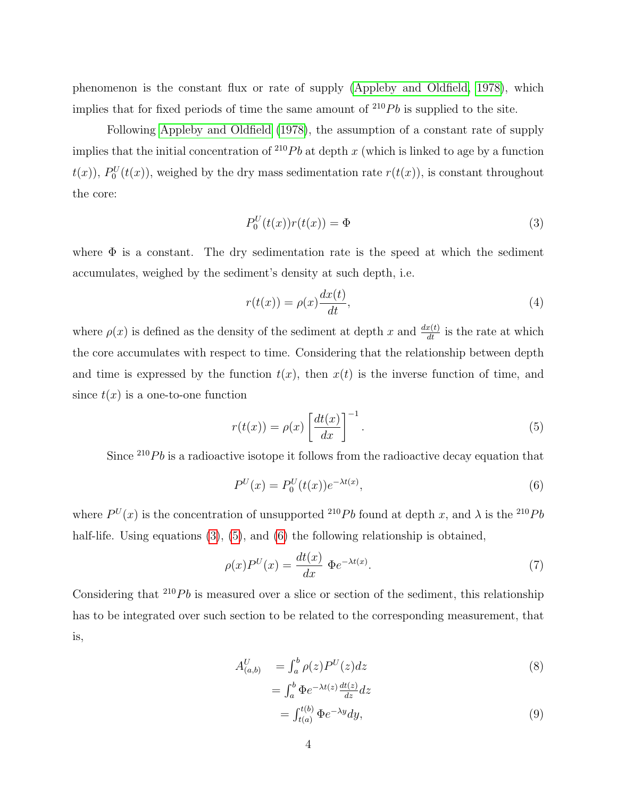phenomenon is the constant flux or rate of supply [\(Appleby and Oldfield, 1978\)](#page-18-2), which implies that for fixed periods of time the same amount of  $^{210}Pb$  is supplied to the site.

Following [Appleby and Oldfield](#page-18-2) [\(1978\)](#page-18-2), the assumption of a constant rate of supply implies that the initial concentration of  $^{210}Pb$  at depth x (which is linked to age by a function  $t(x)$ ),  $P_0^U(t(x))$ , weighed by the dry mass sedimentation rate  $r(t(x))$ , is constant throughout the core:

<span id="page-3-0"></span>
$$
P_0^U(t(x))r(t(x)) = \Phi
$$
\n(3)

where  $\Phi$  is a constant. The dry sedimentation rate is the speed at which the sediment accumulates, weighed by the sediment's density at such depth, i.e.

$$
r(t(x)) = \rho(x)\frac{dx(t)}{dt},\tag{4}
$$

where  $\rho(x)$  is defined as the density of the sediment at depth x and  $\frac{dx(t)}{dt}$  is the rate at which the core accumulates with respect to time. Considering that the relationship between depth and time is expressed by the function  $t(x)$ , then  $x(t)$  is the inverse function of time, and since  $t(x)$  is a one-to-one function

<span id="page-3-1"></span>
$$
r(t(x)) = \rho(x) \left[ \frac{dt(x)}{dx} \right]^{-1}.
$$
\n(5)

Since  $^{210}Pb$  is a radioactive isotope it follows from the radioactive decay equation that

<span id="page-3-2"></span>
$$
P^{U}(x) = P_0^{U}(t(x))e^{-\lambda t(x)},
$$
\n(6)

where  $P^{U}(x)$  is the concentration of unsupported <sup>210</sup>Pb found at depth x, and  $\lambda$  is the <sup>210</sup>Pb half-life. Using equations [\(3\)](#page-3-0), [\(5\)](#page-3-1), and [\(6\)](#page-3-2) the following relationship is obtained,

$$
\rho(x)P^{U}(x) = \frac{dt(x)}{dx} \Phi e^{-\lambda t(x)}.
$$
\n(7)

Considering that  $^{210}Pb$  is measured over a slice or section of the sediment, this relationship has to be integrated over such section to be related to the corresponding measurement, that is,

<span id="page-3-3"></span>
$$
A_{(a,b)}^U = \int_a^b \rho(z) P^U(z) dz
$$
  
= 
$$
\int_a^b \Phi e^{-\lambda t(z)} \frac{dt(z)}{dz} dz
$$
  
= 
$$
\int_{t(a)}^{t(b)} \Phi e^{-\lambda y} dy,
$$
 (9)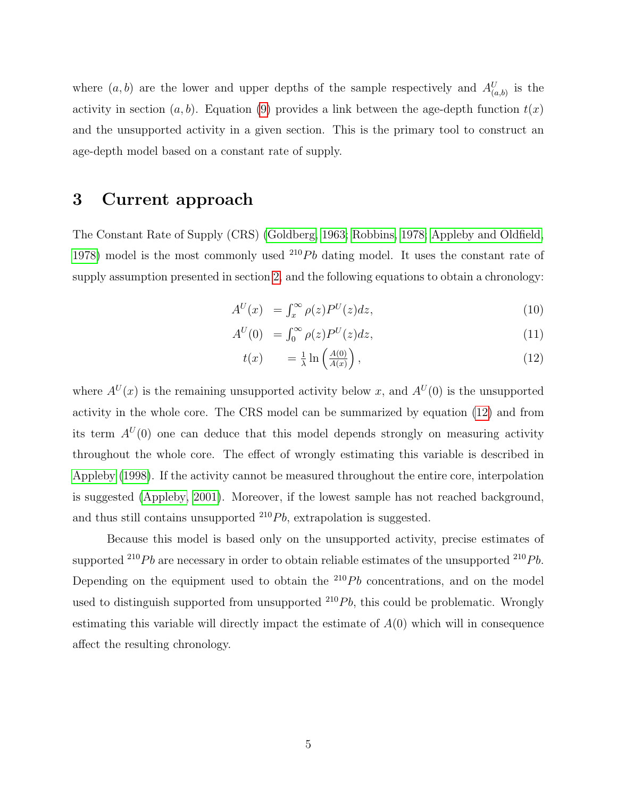where  $(a, b)$  are the lower and upper depths of the sample respectively and  $A_{(a,b)}^U$  is the activity in section  $(a, b)$ . Equation [\(9\)](#page-3-3) provides a link between the age-depth function  $t(x)$ and the unsupported activity in a given section. This is the primary tool to construct an age-depth model based on a constant rate of supply.

## 3 Current approach

The Constant Rate of Supply (CRS) [\(Goldberg, 1963;](#page-18-3) [Robbins, 1978;](#page-18-4) [Appleby and Oldfield,](#page-18-2) [1978\)](#page-18-2) model is the most commonly used  $^{210}Pb$  dating model. It uses the constant rate of supply assumption presented in section [2,](#page-2-0) and the following equations to obtain a chronology:

<span id="page-4-0"></span>
$$
A^{U}(x) = \int_{x}^{\infty} \rho(z) P^{U}(z) dz,
$$
\n(10)

$$
A^{U}(0) = \int_0^\infty \rho(z) P^{U}(z) dz, \qquad (11)
$$

$$
t(x) = \frac{1}{\lambda} \ln \left( \frac{A(0)}{A(x)} \right), \tag{12}
$$

where  $A^{U}(x)$  is the remaining unsupported activity below x, and  $A^{U}(0)$  is the unsupported activity in the whole core. The CRS model can be summarized by equation [\(12\)](#page-4-0) and from its term  $A^{U}(0)$  one can deduce that this model depends strongly on measuring activity throughout the whole core. The effect of wrongly estimating this variable is described in [Appleby](#page-17-1) [\(1998\)](#page-17-1). If the activity cannot be measured throughout the entire core, interpolation is suggested [\(Appleby, 2001\)](#page-17-0). Moreover, if the lowest sample has not reached background, and thus still contains unsupported  $^{210}Pb$ , extrapolation is suggested.

Because this model is based only on the unsupported activity, precise estimates of supported  $^{210}Pb$  are necessary in order to obtain reliable estimates of the unsupported  $^{210}Pb$ . Depending on the equipment used to obtain the  $^{210}Pb$  concentrations, and on the model used to distinguish supported from unsupported  $^{210}Pb$ , this could be problematic. Wrongly estimating this variable will directly impact the estimate of  $A(0)$  which will in consequence affect the resulting chronology.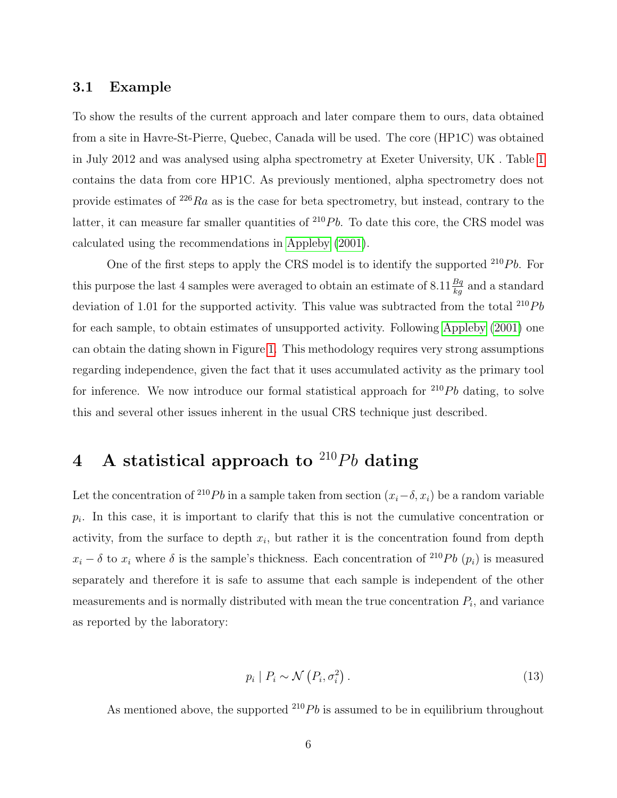#### <span id="page-5-0"></span>3.1 Example

To show the results of the current approach and later compare them to ours, data obtained from a site in Havre-St-Pierre, Quebec, Canada will be used. The core (HP1C) was obtained in July 2012 and was analysed using alpha spectrometry at Exeter University, UK . Table [1](#page-20-0) contains the data from core HP1C. As previously mentioned, alpha spectrometry does not provide estimates of  $^{226}Ra$  as is the case for beta spectrometry, but instead, contrary to the latter, it can measure far smaller quantities of  $^{210}Pb$ . To date this core, the CRS model was calculated using the recommendations in [Appleby](#page-17-0) [\(2001\)](#page-17-0).

One of the first steps to apply the CRS model is to identify the supported  $^{210}Pb$ . For this purpose the last 4 samples were averaged to obtain an estimate of  $8.11 \frac{Bq}{kg}$  and a standard deviation of 1.01 for the supported activity. This value was subtracted from the total  $^{210}Pb$ for each sample, to obtain estimates of unsupported activity. Following [Appleby](#page-17-0) [\(2001\)](#page-17-0) one can obtain the dating shown in Figure [1.](#page-6-0) This methodology requires very strong assumptions regarding independence, given the fact that it uses accumulated activity as the primary tool for inference. We now introduce our formal statistical approach for  $^{210}Pb$  dating, to solve this and several other issues inherent in the usual CRS technique just described.

## 4 A statistical approach to  $^{210}Pb$  dating

Let the concentration of <sup>210</sup>Pb in a sample taken from section  $(x_i-\delta, x_i)$  be a random variable  $p_i$ . In this case, it is important to clarify that this is not the cumulative concentration or activity, from the surface to depth  $x_i$ , but rather it is the concentration found from depth  $x_i - \delta$  to  $x_i$  where  $\delta$  is the sample's thickness. Each concentration of <sup>210</sup>Pb  $(p_i)$  is measured separately and therefore it is safe to assume that each sample is independent of the other measurements and is normally distributed with mean the true concentration  $P_i$ , and variance as reported by the laboratory:

$$
p_i \mid P_i \sim \mathcal{N}\left(P_i, \sigma_i^2\right). \tag{13}
$$

As mentioned above, the supported  $^{210}Pb$  is assumed to be in equilibrium throughout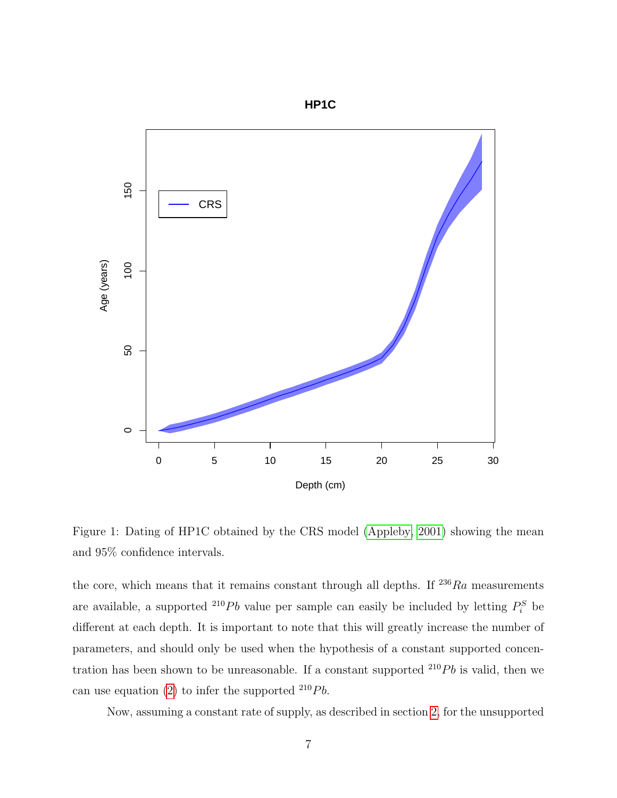

<span id="page-6-0"></span>Figure 1: Dating of HP1C obtained by the CRS model [\(Appleby, 2001\)](#page-17-0) showing the mean and 95% confidence intervals.

the core, which means that it remains constant through all depths. If  $^{236}Ra$  measurements are available, a supported <sup>210</sup>Pb value per sample can easily be included by letting  $P_i^S$  be different at each depth. It is important to note that this will greatly increase the number of parameters, and should only be used when the hypothesis of a constant supported concentration has been shown to be unreasonable. If a constant supported  $^{210}Pb$  is valid, then we can use equation [\(2\)](#page-2-1) to infer the supported  $^{210}Pb$ .

Now, assuming a constant rate of supply, as described in section [2,](#page-2-0) for the unsupported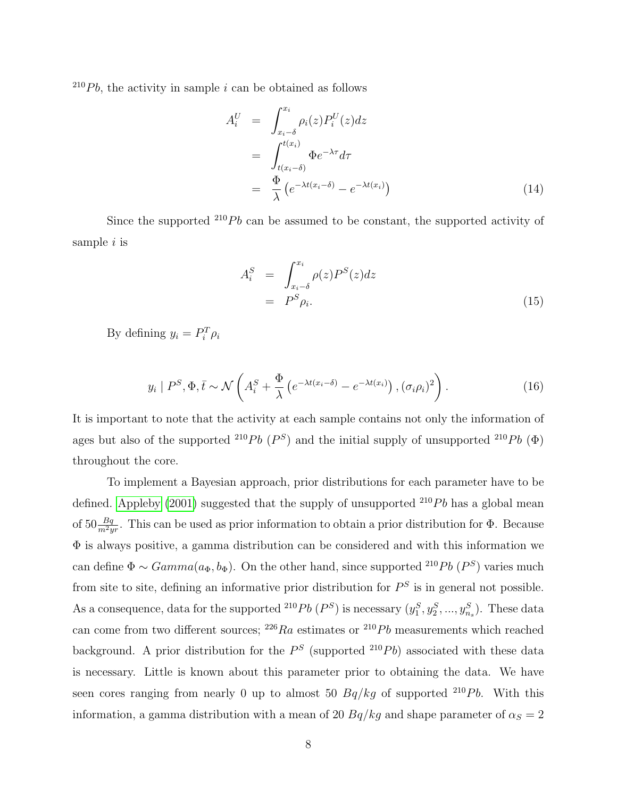$^{210}Pb$ , the activity in sample i can be obtained as follows

<span id="page-7-1"></span>
$$
A_i^U = \int_{x_i - \delta}^{x_i} \rho_i(z) P_i^U(z) dz
$$
  
= 
$$
\int_{t(x_i - \delta)}^{t(x_i)} \Phi e^{-\lambda \tau} d\tau
$$
  
= 
$$
\frac{\Phi}{\lambda} (e^{-\lambda t(x_i - \delta)} - e^{-\lambda t(x_i)})
$$
(14)

Since the supported  $^{210}Pb$  can be assumed to be constant, the supported activity of sample  $i$  is

$$
A_i^S = \int_{x_i - \delta}^{x_i} \rho(z) P^S(z) dz
$$
  
=  $P^S \rho_i$ . (15)

By defining  $y_i = P_i^T \rho_i$ 

<span id="page-7-0"></span>
$$
y_i \mid P^S, \Phi, \bar{t} \sim \mathcal{N}\left(A_i^S + \frac{\Phi}{\lambda}\left(e^{-\lambda t(x_i - \delta)} - e^{-\lambda t(x_i)}\right), (\sigma_i \rho_i)^2\right). \tag{16}
$$

It is important to note that the activity at each sample contains not only the information of ages but also of the supported <sup>210</sup>Pb ( $P^S$ ) and the initial supply of unsupported <sup>210</sup>Pb ( $\Phi$ ) throughout the core.

To implement a Bayesian approach, prior distributions for each parameter have to be defined. [Appleby](#page-17-0) [\(2001\)](#page-17-0) suggested that the supply of unsupported  $^{210}Pb$  has a global mean of  $50 \frac{Bq}{m^2yr}$ . This can be used as prior information to obtain a prior distribution for  $\Phi$ . Because Φ is always positive, a gamma distribution can be considered and with this information we can define  $\Phi \sim Gamma(a_{\Phi}, b_{\Phi})$ . On the other hand, since supported <sup>210</sup>Pb (P<sup>S</sup>) varies much from site to site, defining an informative prior distribution for  $P<sup>S</sup>$  is in general not possible. As a consequence, data for the supported <sup>210</sup>Pb  $(P^S)$  is necessary  $(y_1^S, y_2^S, ..., y_{n_s}^S)$ . These data can come from two different sources;  $^{226}Ra$  estimates or  $^{210}Pb$  measurements which reached background. A prior distribution for the  $P<sup>S</sup>$  (supported  $^{210}Pb$ ) associated with these data is necessary. Little is known about this parameter prior to obtaining the data. We have seen cores ranging from nearly 0 up to almost 50  $Bq/kg$  of supported <sup>210</sup>Pb. With this information, a gamma distribution with a mean of 20  $Bq/kg$  and shape parameter of  $\alpha_S = 2$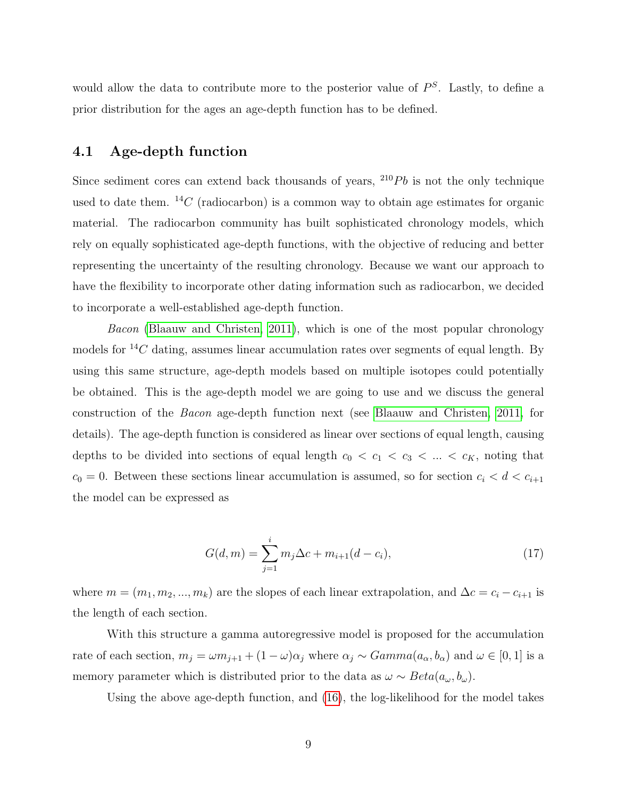would allow the data to contribute more to the posterior value of  $P<sup>S</sup>$ . Lastly, to define a prior distribution for the ages an age-depth function has to be defined.

#### 4.1 Age-depth function

Since sediment cores can extend back thousands of years,  $^{210}Pb$  is not the only technique used to date them.  $^{14}C$  (radiocarbon) is a common way to obtain age estimates for organic material. The radiocarbon community has built sophisticated chronology models, which rely on equally sophisticated age-depth functions, with the objective of reducing and better representing the uncertainty of the resulting chronology. Because we want our approach to have the flexibility to incorporate other dating information such as radiocarbon, we decided to incorporate a well-established age-depth function.

Bacon [\(Blaauw and Christen, 2011\)](#page-18-5), which is one of the most popular chronology models for  ${}^{14}C$  dating, assumes linear accumulation rates over segments of equal length. By using this same structure, age-depth models based on multiple isotopes could potentially be obtained. This is the age-depth model we are going to use and we discuss the general construction of the Bacon age-depth function next (see [Blaauw and Christen, 2011,](#page-18-5) for details). The age-depth function is considered as linear over sections of equal length, causing depths to be divided into sections of equal length  $c_0 < c_1 < c_3 < \ldots < c_K$ , noting that  $c_0 = 0$ . Between these sections linear accumulation is assumed, so for section  $c_i < d < c_{i+1}$ the model can be expressed as

<span id="page-8-0"></span>
$$
G(d,m) = \sum_{j=1}^{i} m_j \Delta c + m_{i+1}(d - c_i),
$$
\n(17)

where  $m = (m_1, m_2, ..., m_k)$  are the slopes of each linear extrapolation, and  $\Delta c = c_i - c_{i+1}$  is the length of each section.

With this structure a gamma autoregressive model is proposed for the accumulation rate of each section,  $m_j = \omega m_{j+1} + (1 - \omega)\alpha_j$  where  $\alpha_j \sim Gamma(a_{\alpha}, b_{\alpha})$  and  $\omega \in [0, 1]$  is a memory parameter which is distributed prior to the data as  $\omega \sim Beta(a_{\omega}, b_{\omega})$ .

Using the above age-depth function, and [\(16\)](#page-7-0), the log-likelihood for the model takes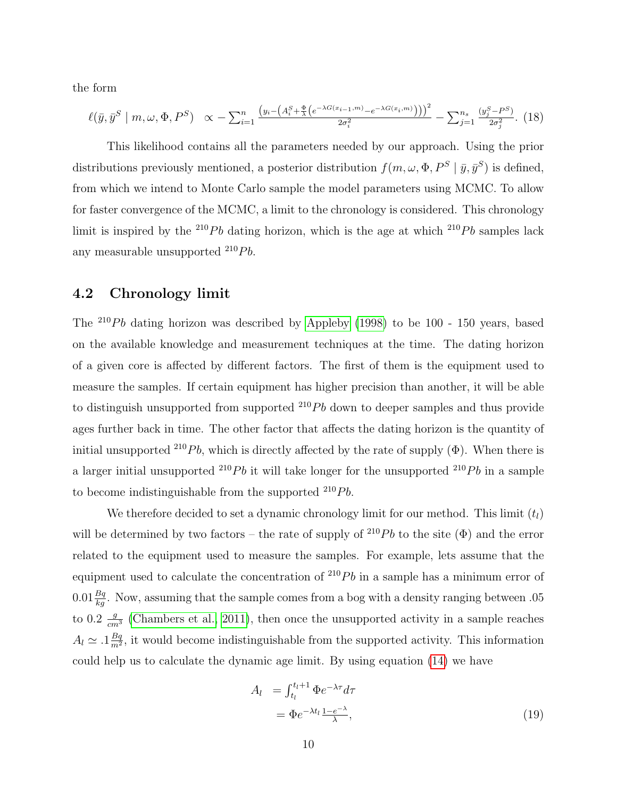the form

$$
\ell(\bar{y}, \bar{y}^S \mid m, \omega, \Phi, P^S) \propto -\sum_{i=1}^n \frac{\left(y_i - \left(A_i^S + \frac{\Phi}{\lambda} \left(e^{-\lambda G(x_{i-1}, m)} - e^{-\lambda G(x_i, m)}\right)\right)\right)^2}{2\sigma_i^2} - \sum_{j=1}^n \frac{\left(y_j^S - P^S\right)}{2\sigma_j^2}.
$$
 (18)

This likelihood contains all the parameters needed by our approach. Using the prior distributions previously mentioned, a posterior distribution  $f(m, \omega, \Phi, P^S | \bar{y}, \bar{y}^S)$  is defined, from which we intend to Monte Carlo sample the model parameters using MCMC. To allow for faster convergence of the MCMC, a limit to the chronology is considered. This chronology limit is inspired by the <sup>210</sup>Pb dating horizon, which is the age at which <sup>210</sup>Pb samples lack any measurable unsupported  $^{210}Pb$ .

### 4.2 Chronology limit

The  $^{210}Pb$  dating horizon was described by [Appleby](#page-17-1) [\(1998\)](#page-17-1) to be 100 - 150 years, based on the available knowledge and measurement techniques at the time. The dating horizon of a given core is affected by different factors. The first of them is the equipment used to measure the samples. If certain equipment has higher precision than another, it will be able to distinguish unsupported from supported  $^{210}Pb$  down to deeper samples and thus provide ages further back in time. The other factor that affects the dating horizon is the quantity of initial unsupported <sup>210</sup>Pb, which is directly affected by the rate of supply  $(\Phi)$ . When there is a larger initial unsupported <sup>210</sup>Pb it will take longer for the unsupported <sup>210</sup>Pb in a sample to become indistinguishable from the supported  $^{210}Pb$ .

We therefore decided to set a dynamic chronology limit for our method. This limit  $(t_l)$ will be determined by two factors – the rate of supply of  $^{210}Pb$  to the site ( $\Phi$ ) and the error related to the equipment used to measure the samples. For example, lets assume that the equipment used to calculate the concentration of  $^{210}Pb$  in a sample has a minimum error of  $0.01 \frac{Bq}{kg}$ . Now, assuming that the sample comes from a bog with a density ranging between 0.05 to 0.2  $\frac{g}{cm^3}$  [\(Chambers et al., 2011\)](#page-18-6), then once the unsupported activity in a sample reaches  $A_l \simeq .1 \frac{Bq}{m^2}$  $\frac{Bq}{m^2}$ , it would become indistinguishable from the supported activity. This information could help us to calculate the dynamic age limit. By using equation [\(14\)](#page-7-1) we have

$$
A_l = \int_{t_l}^{t_l+1} \Phi e^{-\lambda \tau} d\tau
$$
  
=  $\Phi e^{-\lambda t_l} \frac{1 - e^{-\lambda}}{\lambda}$ , (19)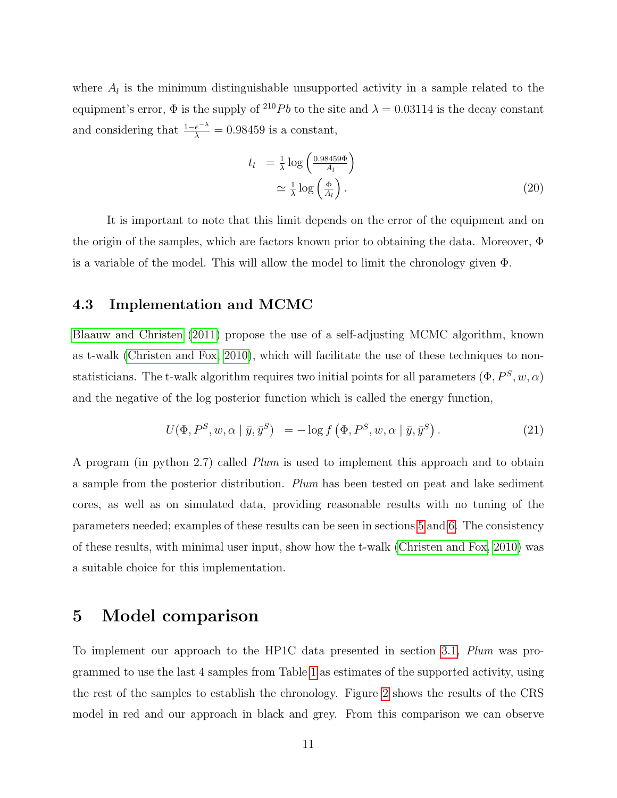where  $A_l$  is the minimum distinguishable unsupported activity in a sample related to the equipment's error,  $\Phi$  is the supply of <sup>210</sup>Pb to the site and  $\lambda = 0.03114$  is the decay constant and considering that  $\frac{1-e^{-\lambda}}{\lambda} = 0.98459$  is a constant,

$$
t_l = \frac{1}{\lambda} \log \left( \frac{0.98459\Phi}{A_l} \right)
$$
  
 
$$
\simeq \frac{1}{\lambda} \log \left( \frac{\Phi}{A_l} \right). \tag{20}
$$

It is important to note that this limit depends on the error of the equipment and on the origin of the samples, which are factors known prior to obtaining the data. Moreover, Φ is a variable of the model. This will allow the model to limit the chronology given Φ.

## 4.3 Implementation and MCMC

[Blaauw and Christen](#page-18-5) [\(2011\)](#page-18-5) propose the use of a self-adjusting MCMC algorithm, known as t-walk [\(Christen and Fox, 2010\)](#page-18-7), which will facilitate the use of these techniques to nonstatisticians. The t-walk algorithm requires two initial points for all parameters  $(\Phi, P^S, w, \alpha)$ and the negative of the log posterior function which is called the energy function,

$$
U(\Phi, P^S, w, \alpha \mid \bar{y}, \bar{y}^S) = -\log f(\Phi, P^S, w, \alpha \mid \bar{y}, \bar{y}^S). \tag{21}
$$

A program (in python 2.7) called Plum is used to implement this approach and to obtain a sample from the posterior distribution. Plum has been tested on peat and lake sediment cores, as well as on simulated data, providing reasonable results with no tuning of the parameters needed; examples of these results can be seen in sections [5](#page-10-0) and [6.](#page-12-0) The consistency of these results, with minimal user input, show how the t-walk [\(Christen and Fox, 2010\)](#page-18-7) was a suitable choice for this implementation.

## <span id="page-10-0"></span>5 Model comparison

To implement our approach to the HP1C data presented in section [3.1,](#page-5-0) Plum was programmed to use the last 4 samples from Table [1](#page-20-0) as estimates of the supported activity, using the rest of the samples to establish the chronology. Figure [2](#page-12-1) shows the results of the CRS model in red and our approach in black and grey. From this comparison we can observe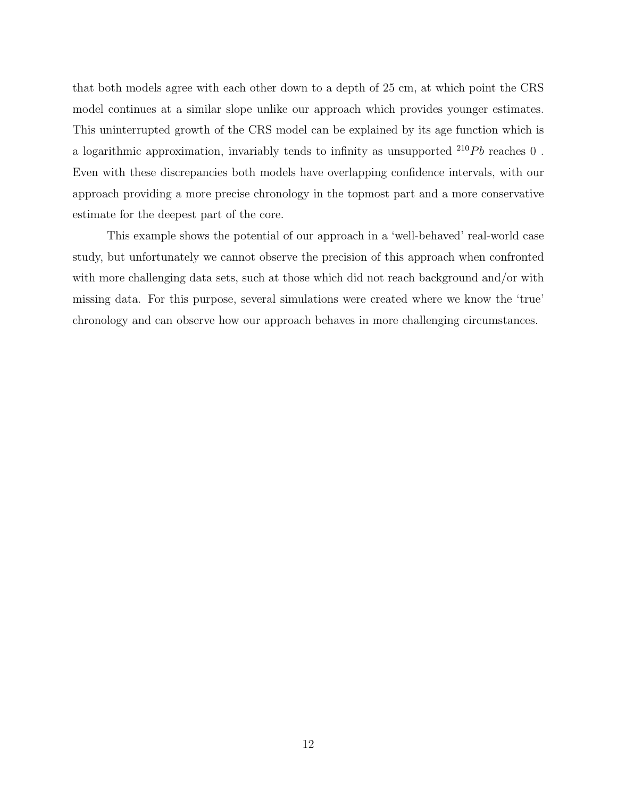that both models agree with each other down to a depth of 25 cm, at which point the CRS model continues at a similar slope unlike our approach which provides younger estimates. This uninterrupted growth of the CRS model can be explained by its age function which is a logarithmic approximation, invariably tends to infinity as unsupported  $^{210}Pb$  reaches 0. Even with these discrepancies both models have overlapping confidence intervals, with our approach providing a more precise chronology in the topmost part and a more conservative estimate for the deepest part of the core.

This example shows the potential of our approach in a 'well-behaved' real-world case study, but unfortunately we cannot observe the precision of this approach when confronted with more challenging data sets, such at those which did not reach background and/or with missing data. For this purpose, several simulations were created where we know the 'true' chronology and can observe how our approach behaves in more challenging circumstances.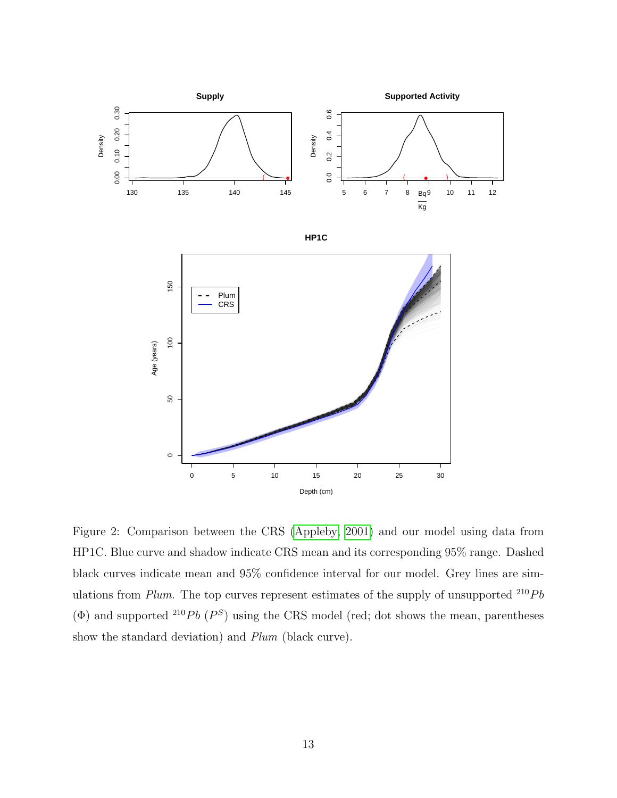

<span id="page-12-1"></span><span id="page-12-0"></span>Figure 2: Comparison between the CRS [\(Appleby, 2001\)](#page-17-0) and our model using data from HP1C. Blue curve and shadow indicate CRS mean and its corresponding 95% range. Dashed black curves indicate mean and 95% confidence interval for our model. Grey lines are simulations from Plum. The top curves represent estimates of the supply of unsupported  $^{210}Pb$  $(\Phi)$  and supported <sup>210</sup>Pb  $(P^S)$  using the CRS model (red; dot shows the mean, parentheses show the standard deviation) and Plum (black curve).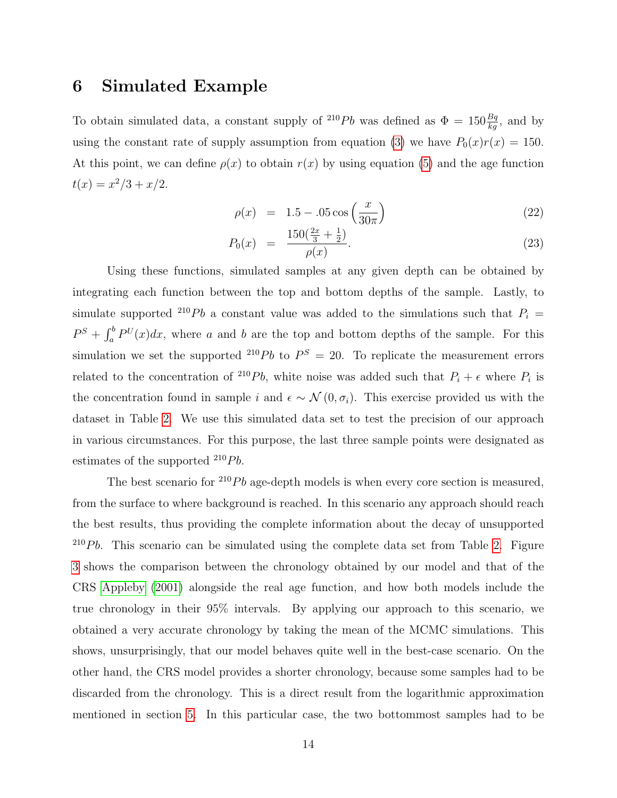## 6 Simulated Example

To obtain simulated data, a constant supply of <sup>210</sup>Pb was defined as  $\Phi = 150 \frac{Bq}{kg}$ , and by using the constant rate of supply assumption from equation [\(3\)](#page-3-0) we have  $P_0(x)r(x) = 150$ . At this point, we can define  $\rho(x)$  to obtain  $r(x)$  by using equation [\(5\)](#page-3-1) and the age function  $t(x) = x^2/3 + x/2.$ 

$$
\rho(x) = 1.5 - 0.05 \cos\left(\frac{x}{30\pi}\right) \tag{22}
$$

$$
P_0(x) = \frac{150(\frac{2x}{3} + \frac{1}{2})}{\rho(x)}.
$$
\n(23)

Using these functions, simulated samples at any given depth can be obtained by integrating each function between the top and bottom depths of the sample. Lastly, to simulate supported <sup>210</sup>Pb a constant value was added to the simulations such that  $P_i =$  $P^{S} + \int_{a}^{b} P^{U}(x)dx$ , where a and b are the top and bottom depths of the sample. For this simulation we set the supported <sup>210</sup>Pb to  $P^S = 20$ . To replicate the measurement errors related to the concentration of <sup>210</sup>Pb, white noise was added such that  $P_i + \epsilon$  where  $P_i$  is the concentration found in sample i and  $\epsilon \sim \mathcal{N}(0, \sigma_i)$ . This exercise provided us with the dataset in Table [2.](#page-21-0) We use this simulated data set to test the precision of our approach in various circumstances. For this purpose, the last three sample points were designated as estimates of the supported  $^{210}Pb$ .

The best scenario for  $^{210}Pb$  age-depth models is when every core section is measured, from the surface to where background is reached. In this scenario any approach should reach the best results, thus providing the complete information about the decay of unsupported  $^{210}Pb$ . This scenario can be simulated using the complete data set from Table [2.](#page-21-0) Figure [3](#page-14-0) shows the comparison between the chronology obtained by our model and that of the CRS [Appleby](#page-17-0) [\(2001\)](#page-17-0) alongside the real age function, and how both models include the true chronology in their 95% intervals. By applying our approach to this scenario, we obtained a very accurate chronology by taking the mean of the MCMC simulations. This shows, unsurprisingly, that our model behaves quite well in the best-case scenario. On the other hand, the CRS model provides a shorter chronology, because some samples had to be discarded from the chronology. This is a direct result from the logarithmic approximation mentioned in section [5.](#page-10-0) In this particular case, the two bottommost samples had to be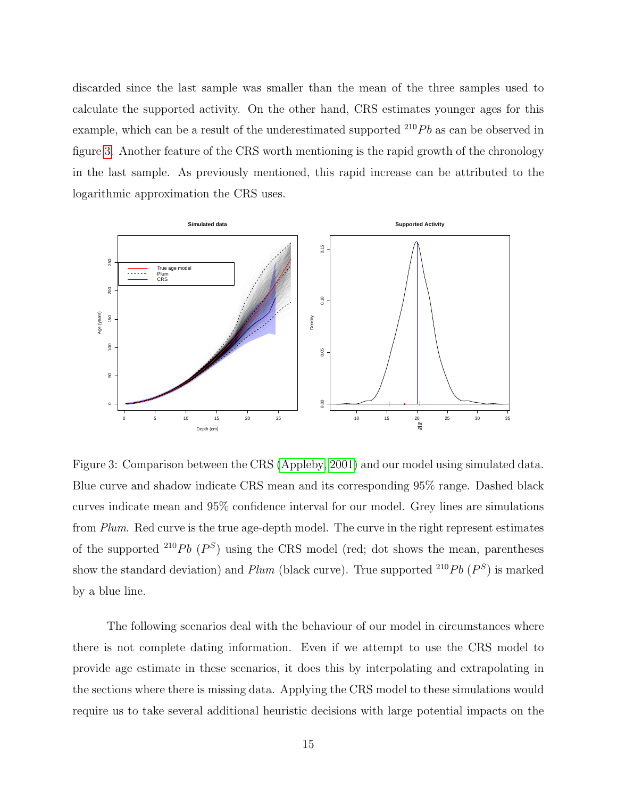discarded since the last sample was smaller than the mean of the three samples used to calculate the supported activity. On the other hand, CRS estimates younger ages for this example, which can be a result of the underestimated supported  $^{210}Pb$  as can be observed in figure [3.](#page-14-0) Another feature of the CRS worth mentioning is the rapid growth of the chronology in the last sample. As previously mentioned, this rapid increase can be attributed to the logarithmic approximation the CRS uses.



<span id="page-14-0"></span>Figure 3: Comparison between the CRS [\(Appleby, 2001\)](#page-17-0) and our model using simulated data. Blue curve and shadow indicate CRS mean and its corresponding 95% range. Dashed black curves indicate mean and 95% confidence interval for our model. Grey lines are simulations from Plum. Red curve is the true age-depth model. The curve in the right represent estimates of the supported <sup>210</sup>Pb ( $P^S$ ) using the CRS model (red; dot shows the mean, parentheses show the standard deviation) and  $Plum$  (black curve). True supported  $^{210}Pb$  ( $P^S$ ) is marked by a blue line.

The following scenarios deal with the behaviour of our model in circumstances where there is not complete dating information. Even if we attempt to use the CRS model to provide age estimate in these scenarios, it does this by interpolating and extrapolating in the sections where there is missing data. Applying the CRS model to these simulations would require us to take several additional heuristic decisions with large potential impacts on the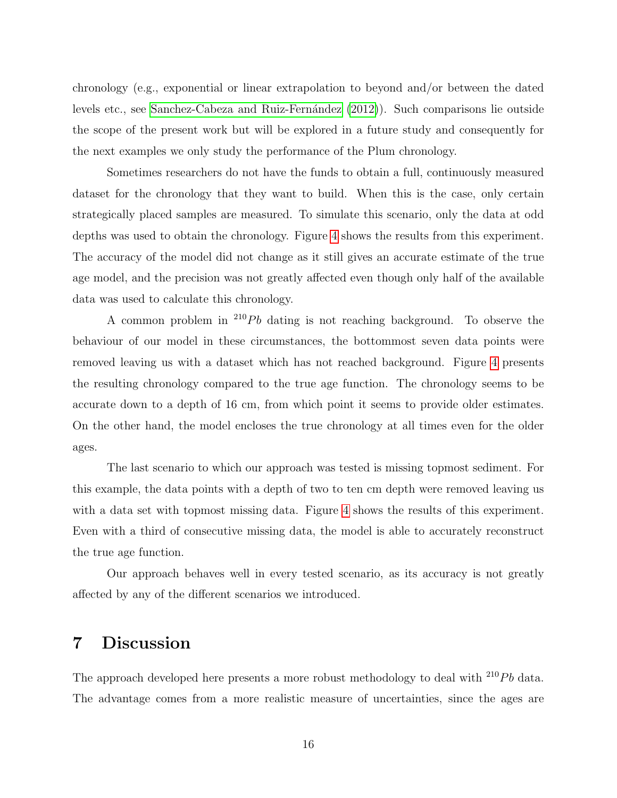chronology (e.g., exponential or linear extrapolation to beyond and/or between the dated levels etc., see Sanchez-Cabeza and Ruiz-Fernández [\(2012\)](#page-19-1)). Such comparisons lie outside the scope of the present work but will be explored in a future study and consequently for the next examples we only study the performance of the Plum chronology.

Sometimes researchers do not have the funds to obtain a full, continuously measured dataset for the chronology that they want to build. When this is the case, only certain strategically placed samples are measured. To simulate this scenario, only the data at odd depths was used to obtain the chronology. Figure [4](#page-16-0) shows the results from this experiment. The accuracy of the model did not change as it still gives an accurate estimate of the true age model, and the precision was not greatly affected even though only half of the available data was used to calculate this chronology.

A common problem in  $^{210}Pb$  dating is not reaching background. To observe the behaviour of our model in these circumstances, the bottommost seven data points were removed leaving us with a dataset which has not reached background. Figure [4](#page-16-0) presents the resulting chronology compared to the true age function. The chronology seems to be accurate down to a depth of 16 cm, from which point it seems to provide older estimates. On the other hand, the model encloses the true chronology at all times even for the older ages.

The last scenario to which our approach was tested is missing topmost sediment. For this example, the data points with a depth of two to ten cm depth were removed leaving us with a data set with topmost missing data. Figure [4](#page-16-0) shows the results of this experiment. Even with a third of consecutive missing data, the model is able to accurately reconstruct the true age function.

Our approach behaves well in every tested scenario, as its accuracy is not greatly affected by any of the different scenarios we introduced.

## 7 Discussion

The approach developed here presents a more robust methodology to deal with  $^{210}Pb$  data. The advantage comes from a more realistic measure of uncertainties, since the ages are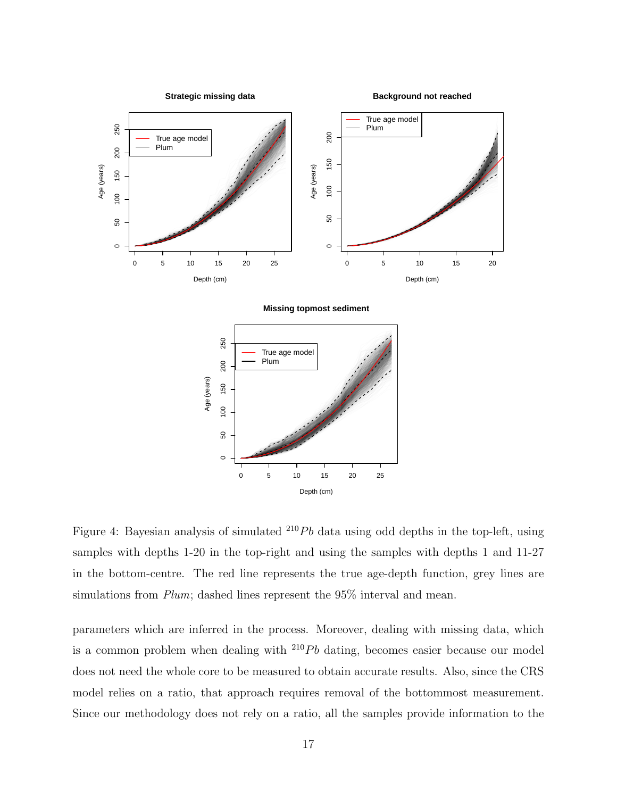

<span id="page-16-0"></span>Figure 4: Bayesian analysis of simulated  $^{210}Pb$  data using odd depths in the top-left, using samples with depths 1-20 in the top-right and using the samples with depths 1 and 11-27 in the bottom-centre. The red line represents the true age-depth function, grey lines are simulations from *Plum*; dashed lines represent the 95% interval and mean.

0 5 10 15 20 25

Depth (cm)

 $\circ$ 

50

150

 $\overline{0}$ 

parameters which are inferred in the process. Moreover, dealing with missing data, which is a common problem when dealing with  $^{210}Pb$  dating, becomes easier because our model does not need the whole core to be measured to obtain accurate results. Also, since the CRS model relies on a ratio, that approach requires removal of the bottommost measurement. Since our methodology does not rely on a ratio, all the samples provide information to the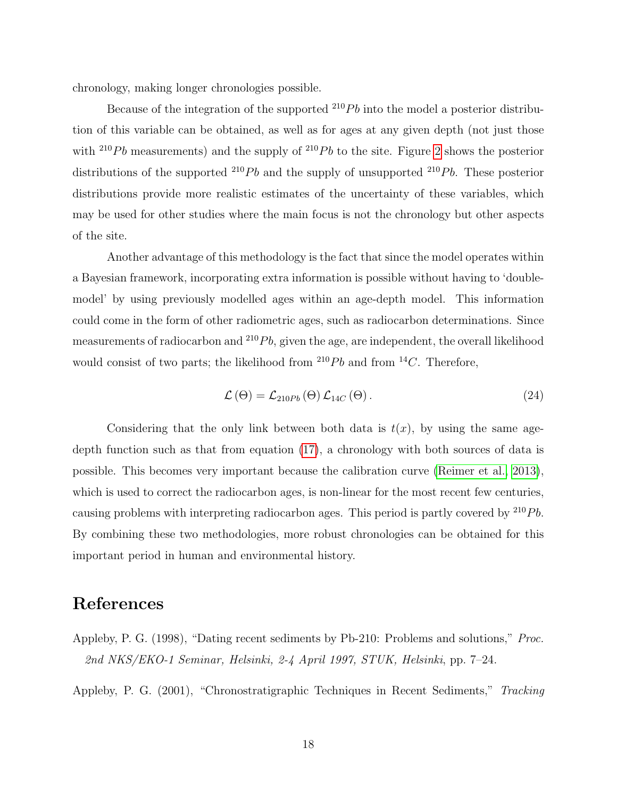chronology, making longer chronologies possible.

Because of the integration of the supported  $^{210}Pb$  into the model a posterior distribution of this variable can be obtained, as well as for ages at any given depth (not just those with <sup>210</sup>Pb measurements) and the supply of <sup>210</sup>Pb to the site. Figure [2](#page-12-1) shows the posterior distributions of the supported  $^{210}Pb$  and the supply of unsupported  $^{210}Pb$ . These posterior distributions provide more realistic estimates of the uncertainty of these variables, which may be used for other studies where the main focus is not the chronology but other aspects of the site.

Another advantage of this methodology is the fact that since the model operates within a Bayesian framework, incorporating extra information is possible without having to 'doublemodel' by using previously modelled ages within an age-depth model. This information could come in the form of other radiometric ages, such as radiocarbon determinations. Since measurements of radiocarbon and  $^{210}Pb$ , given the age, are independent, the overall likelihood would consist of two parts; the likelihood from  $^{210}Pb$  and from  $^{14}C$ . Therefore,

$$
\mathcal{L}(\Theta) = \mathcal{L}_{210Pb}(\Theta) \mathcal{L}_{14C}(\Theta). \qquad (24)
$$

Considering that the only link between both data is  $t(x)$ , by using the same agedepth function such as that from equation [\(17\)](#page-8-0), a chronology with both sources of data is possible. This becomes very important because the calibration curve [\(Reimer et al., 2013\)](#page-18-8), which is used to correct the radiocarbon ages, is non-linear for the most recent few centuries, causing problems with interpreting radiocarbon ages. This period is partly covered by  $^{210}Pb$ . By combining these two methodologies, more robust chronologies can be obtained for this important period in human and environmental history.

## References

<span id="page-17-1"></span>Appleby, P. G. (1998), "Dating recent sediments by Pb-210: Problems and solutions," Proc. 2nd NKS/EKO-1 Seminar, Helsinki, 2-4 April 1997, STUK, Helsinki, pp. 7–24.

<span id="page-17-0"></span>Appleby, P. G. (2001), "Chronostratigraphic Techniques in Recent Sediments," Tracking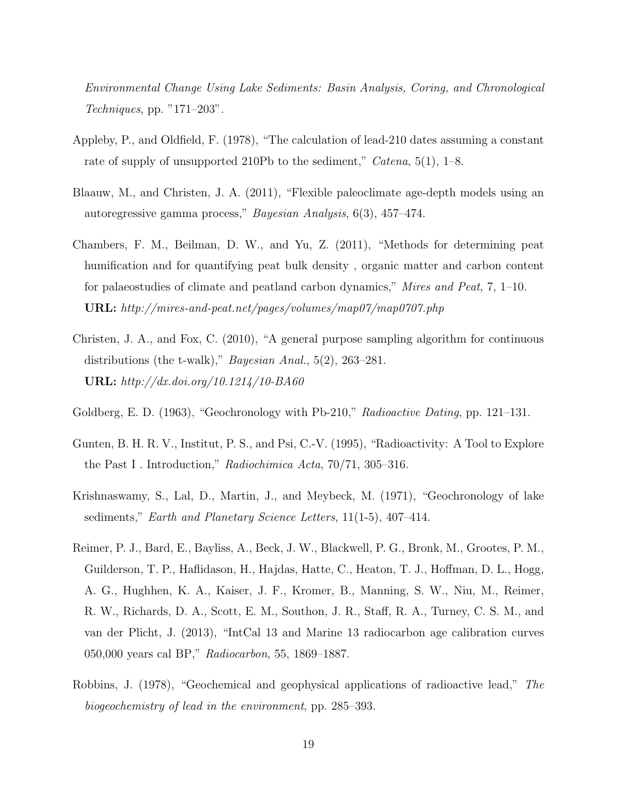Environmental Change Using Lake Sediments: Basin Analysis, Coring, and Chronological Techniques, pp. "171–203".

- <span id="page-18-2"></span>Appleby, P., and Oldfield, F. (1978), "The calculation of lead-210 dates assuming a constant rate of supply of unsupported 210Pb to the sediment," *Catena*, 5(1), 1–8.
- <span id="page-18-5"></span>Blaauw, M., and Christen, J. A. (2011), "Flexible paleoclimate age-depth models using an autoregressive gamma process," Bayesian Analysis, 6(3), 457–474.
- <span id="page-18-6"></span>Chambers, F. M., Beilman, D. W., and Yu, Z. (2011), "Methods for determining peat humification and for quantifying peat bulk density , organic matter and carbon content for palaeostudies of climate and peatland carbon dynamics," Mires and Peat, 7, 1–10. URL: http://mires-and-peat.net/pages/volumes/map07/map0707.php
- <span id="page-18-7"></span>Christen, J. A., and Fox, C. (2010), "A general purpose sampling algorithm for continuous distributions (the t-walk)," *Bayesian Anal.*, 5(2), 263–281. URL: http://dx.doi.org/10.1214/10-BA60
- <span id="page-18-3"></span>Goldberg, E. D. (1963), "Geochronology with Pb-210," Radioactive Dating, pp. 121–131.
- <span id="page-18-0"></span>Gunten, B. H. R. V., Institut, P. S., and Psi, C.-V. (1995), "Radioactivity: A Tool to Explore the Past I . Introduction," Radiochimica Acta, 70/71, 305–316.
- <span id="page-18-1"></span>Krishnaswamy, S., Lal, D., Martin, J., and Meybeck, M. (1971), "Geochronology of lake sediments," *Earth and Planetary Science Letters*, 11(1-5), 407-414.
- <span id="page-18-8"></span>Reimer, P. J., Bard, E., Bayliss, A., Beck, J. W., Blackwell, P. G., Bronk, M., Grootes, P. M., Guilderson, T. P., Haflidason, H., Hajdas, Hatte, C., Heaton, T. J., Hoffman, D. L., Hogg, A. G., Hughhen, K. A., Kaiser, J. F., Kromer, B., Manning, S. W., Niu, M., Reimer, R. W., Richards, D. A., Scott, E. M., Southon, J. R., Staff, R. A., Turney, C. S. M., and van der Plicht, J. (2013), "IntCal 13 and Marine 13 radiocarbon age calibration curves 050,000 years cal BP," Radiocarbon, 55, 1869–1887.
- <span id="page-18-4"></span>Robbins, J. (1978), "Geochemical and geophysical applications of radioactive lead," The biogeochemistry of lead in the environment, pp. 285–393.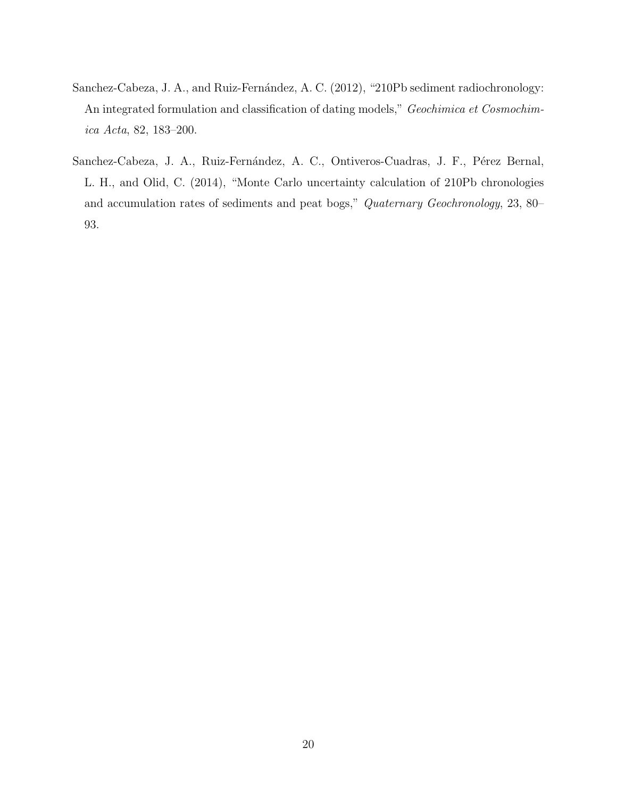- <span id="page-19-1"></span>Sanchez-Cabeza, J. A., and Ruiz-Fernández, A. C. (2012), "210Pb sediment radiochronology: An integrated formulation and classification of dating models," Geochimica et Cosmochimica Acta, 82, 183–200.
- <span id="page-19-0"></span>Sanchez-Cabeza, J. A., Ruiz-Fernández, A. C., Ontiveros-Cuadras, J. F., Pérez Bernal, L. H., and Olid, C. (2014), "Monte Carlo uncertainty calculation of 210Pb chronologies and accumulation rates of sediments and peat bogs," Quaternary Geochronology, 23, 80– 93.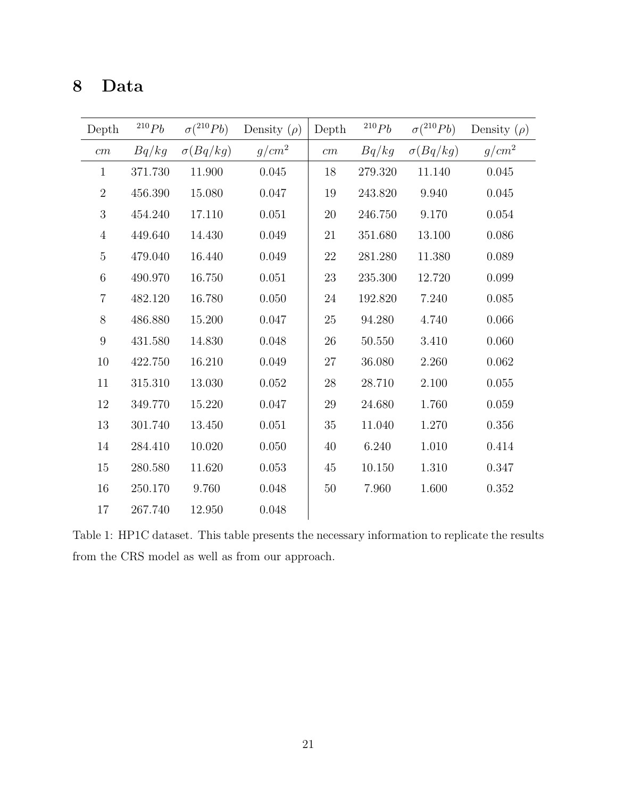## 8 Data

| Depth            | $^{210}Pb$ | $\sigma(^{210}Pb)$ | Density $(\rho)$ | Depth  | $^{210}Pb$ | $\sigma(^{210}Pb)$ | Density $(\rho)$ |
|------------------|------------|--------------------|------------------|--------|------------|--------------------|------------------|
| $\,cm$           | Bq/kg      | $\sigma(Bq/kg)$    | $g/cm^2$         | cm     | Bq/kg      | $\sigma(Bq/kg)$    | $g/cm^2$         |
| $\mathbf{1}$     | 371.730    | 11.900             | 0.045            | 18     | 279.320    | 11.140             | 0.045            |
| $\overline{2}$   | 456.390    | $15.080\,$         | 0.047            | 19     | 243.820    | 9.940              | 0.045            |
| $\boldsymbol{3}$ | 454.240    | 17.110             | 0.051            | $20\,$ | 246.750    | 9.170              | 0.054            |
| $\overline{4}$   | 449.640    | 14.430             | 0.049            | 21     | 351.680    | 13.100             | 0.086            |
| $\bf 5$          | 479.040    | 16.440             | 0.049            | 22     | 281.280    | 11.380             | 0.089            |
| $\,6$            | 490.970    | 16.750             | 0.051            | 23     | 235.300    | 12.720             | 0.099            |
| $\overline{7}$   | 482.120    | 16.780             | 0.050            | 24     | 192.820    | 7.240              | 0.085            |
| 8                | 486.880    | 15.200             | 0.047            | 25     | 94.280     | 4.740              | 0.066            |
| $\boldsymbol{9}$ | 431.580    | 14.830             | 0.048            | 26     | 50.550     | 3.410              | 0.060            |
| 10               | 422.750    | 16.210             | 0.049            | 27     | 36.080     | 2.260              | 0.062            |
| 11               | 315.310    | 13.030             | 0.052            | 28     | 28.710     | 2.100              | 0.055            |
| 12               | 349.770    | 15.220             | 0.047            | 29     | 24.680     | 1.760              | 0.059            |
| 13               | 301.740    | 13.450             | 0.051            | 35     | 11.040     | 1.270              | 0.356            |
| 14               | 284.410    | 10.020             | 0.050            | 40     | 6.240      | 1.010              | 0.414            |
| 15               | 280.580    | 11.620             | 0.053            | 45     | 10.150     | 1.310              | 0.347            |
| 16               | 250.170    | 9.760              | 0.048            | $50\,$ | 7.960      | 1.600              | 0.352            |
| 17               | 267.740    | 12.950             | 0.048            |        |            |                    |                  |

<span id="page-20-0"></span>Table 1: HP1C dataset. This table presents the necessary information to replicate the results from the CRS model as well as from our approach.